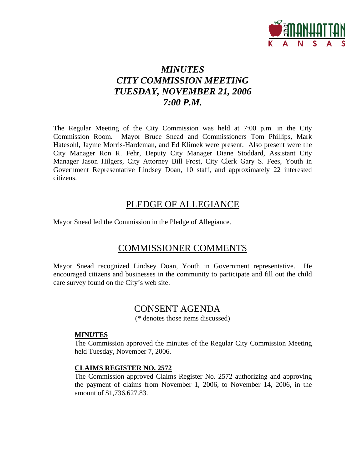

# *MINUTES CITY COMMISSION MEETING TUESDAY, NOVEMBER 21, 2006 7:00 P.M.*

The Regular Meeting of the City Commission was held at 7:00 p.m. in the City Commission Room. Mayor Bruce Snead and Commissioners Tom Phillips, Mark Hatesohl, Jayme Morris-Hardeman, and Ed Klimek were present. Also present were the City Manager Ron R. Fehr, Deputy City Manager Diane Stoddard, Assistant City Manager Jason Hilgers, City Attorney Bill Frost, City Clerk Gary S. Fees, Youth in Government Representative Lindsey Doan, 10 staff, and approximately 22 interested citizens.

### PLEDGE OF ALLEGIANCE

Mayor Snead led the Commission in the Pledge of Allegiance.

## COMMISSIONER COMMENTS

Mayor Snead recognized Lindsey Doan, Youth in Government representative. He encouraged citizens and businesses in the community to participate and fill out the child care survey found on the City's web site.

## CONSENT AGENDA

(\* denotes those items discussed)

#### **MINUTES**

The Commission approved the minutes of the Regular City Commission Meeting held Tuesday, November 7, 2006.

#### **CLAIMS REGISTER NO. 2572**

The Commission approved Claims Register No. 2572 authorizing and approving the payment of claims from November 1, 2006, to November 14, 2006, in the amount of \$1,736,627.83.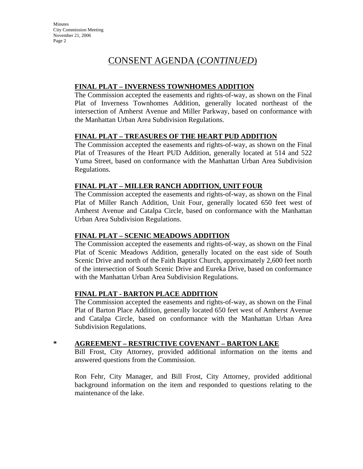# CONSENT AGENDA (*CONTINUED*)

### **FINAL PLAT – INVERNESS TOWNHOMES ADDITION**

The Commission accepted the easements and rights-of-way, as shown on the Final Plat of Inverness Townhomes Addition, generally located northeast of the intersection of Amherst Avenue and Miller Parkway, based on conformance with the Manhattan Urban Area Subdivision Regulations.

### **FINAL PLAT – TREASURES OF THE HEART PUD ADDITION**

The Commission accepted the easements and rights-of-way, as shown on the Final Plat of Treasures of the Heart PUD Addition, generally located at 514 and 522 Yuma Street, based on conformance with the Manhattan Urban Area Subdivision Regulations.

### **FINAL PLAT – MILLER RANCH ADDITION, UNIT FOUR**

The Commission accepted the easements and rights-of-way, as shown on the Final Plat of Miller Ranch Addition, Unit Four, generally located 650 feet west of Amherst Avenue and Catalpa Circle, based on conformance with the Manhattan Urban Area Subdivision Regulations.

#### **FINAL PLAT – SCENIC MEADOWS ADDITION**

The Commission accepted the easements and rights-of-way, as shown on the Final Plat of Scenic Meadows Addition, generally located on the east side of South Scenic Drive and north of the Faith Baptist Church, approximately 2,600 feet north of the intersection of South Scenic Drive and Eureka Drive, based on conformance with the Manhattan Urban Area Subdivision Regulations.

#### **FINAL PLAT - BARTON PLACE ADDITION**

The Commission accepted the easements and rights-of-way, as shown on the Final Plat of Barton Place Addition, generally located 650 feet west of Amherst Avenue and Catalpa Circle, based on conformance with the Manhattan Urban Area Subdivision Regulations.

### **\* AGREEMENT – RESTRICTIVE COVENANT – BARTON LAKE**

Bill Frost, City Attorney, provided additional information on the items and answered questions from the Commission.

Ron Fehr, City Manager, and Bill Frost, City Attorney, provided additional background information on the item and responded to questions relating to the maintenance of the lake.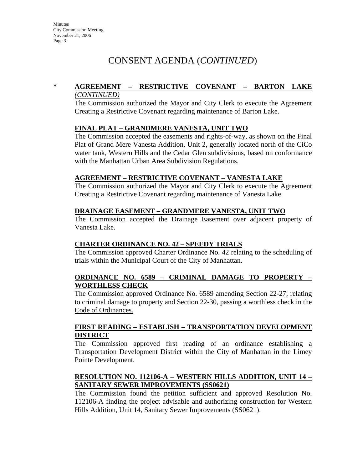## CONSENT AGENDA (*CONTINUED*)

#### **\* AGREEMENT – RESTRICTIVE COVENANT – BARTON LAKE** *(CONTINUED)*

The Commission authorized the Mayor and City Clerk to execute the Agreement Creating a Restrictive Covenant regarding maintenance of Barton Lake.

#### **FINAL PLAT – GRANDMERE VANESTA, UNIT TWO**

The Commission accepted the easements and rights-of-way, as shown on the Final Plat of Grand Mere Vanesta Addition, Unit 2, generally located north of the CiCo water tank, Western Hills and the Cedar Glen subdivisions, based on conformance with the Manhattan Urban Area Subdivision Regulations.

#### **AGREEMENT – RESTRICTIVE COVENANT – VANESTA LAKE**

The Commission authorized the Mayor and City Clerk to execute the Agreement Creating a Restrictive Covenant regarding maintenance of Vanesta Lake.

#### **DRAINAGE EASEMENT – GRANDMERE VANESTA, UNIT TWO**

The Commission accepted the Drainage Easement over adjacent property of Vanesta Lake.

#### **CHARTER ORDINANCE NO. 42 – SPEEDY TRIALS**

The Commission approved Charter Ordinance No. 42 relating to the scheduling of trials within the Municipal Court of the City of Manhattan.

#### **ORDINANCE NO. 6589 – CRIMINAL DAMAGE TO PROPERTY – WORTHLESS CHECK**

The Commission approved Ordinance No. 6589 amending Section 22-27, relating to criminal damage to property and Section 22-30, passing a worthless check in the Code of Ordinances.

#### **FIRST READING – ESTABLISH – TRANSPORTATION DEVELOPMENT DISTRICT**

The Commission approved first reading of an ordinance establishing a Transportation Development District within the City of Manhattan in the Limey Pointe Development.

#### **RESOLUTION NO. 112106-A – WESTERN HILLS ADDITION, UNIT 14 – SANITARY SEWER IMPROVEMENTS (SS0621)**

The Commission found the petition sufficient and approved Resolution No. 112106-A finding the project advisable and authorizing construction for Western Hills Addition, Unit 14, Sanitary Sewer Improvements (SS0621).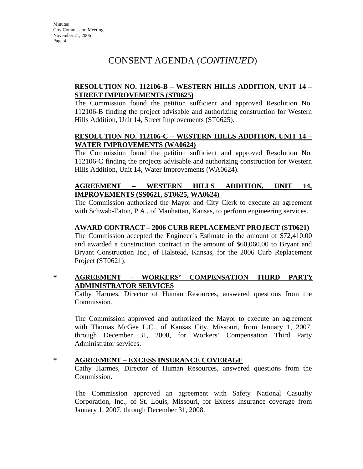## CONSENT AGENDA (*CONTINUED*)

### **RESOLUTION NO. 112106-B – WESTERN HILLS ADDITION, UNIT 14 – STREET IMPROVEMENTS (ST0625)**

The Commission found the petition sufficient and approved Resolution No. 112106-B finding the project advisable and authorizing construction for Western Hills Addition, Unit 14, Street Improvements (ST0625).

#### **RESOLUTION NO. 112106-C – WESTERN HILLS ADDITION, UNIT 14 – WATER IMPROVEMENTS (WA0624)**

The Commission found the petition sufficient and approved Resolution No. 112106-C finding the projects advisable and authorizing construction for Western Hills Addition, Unit 14, Water Improvements (WA0624).

### **AGREEMENT – WESTERN HILLS ADDITION, UNIT 14, IMPROVEMENTS (SS0621, ST0625, WA0624)**

The Commission authorized the Mayor and City Clerk to execute an agreement with Schwab-Eaton, P.A., of Manhattan, Kansas, to perform engineering services.

#### **AWARD CONTRACT – 2006 CURB REPLACEMENT PROJECT (ST0621)**

The Commission accepted the Engineer's Estimate in the amount of \$72,410.00 and awarded a construction contract in the amount of \$60,060.00 to Bryant and Bryant Construction Inc., of Halstead, Kansas, for the 2006 Curb Replacement Project (ST0621).

### **\* AGREEMENT – WORKERS' COMPENSATION THIRD PARTY ADMINISTRATOR SERVICES**

Cathy Harmes, Director of Human Resources, answered questions from the Commission.

The Commission approved and authorized the Mayor to execute an agreement with Thomas McGee L.C., of Kansas City, Missouri, from January 1, 2007, through December 31, 2008, for Workers' Compensation Third Party Administrator services.

### **\* AGREEMENT – EXCESS INSURANCE COVERAGE**

Cathy Harmes, Director of Human Resources, answered questions from the Commission.

The Commission approved an agreement with Safety National Casualty Corporation, Inc., of St. Louis, Missouri, for Excess Insurance coverage from January 1, 2007, through December 31, 2008.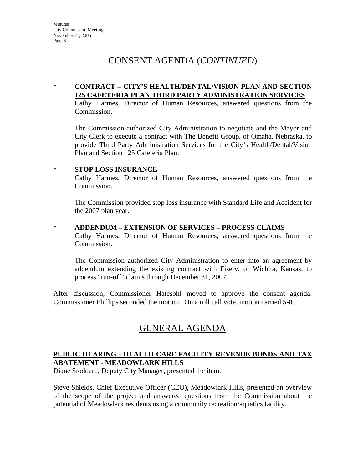## CONSENT AGENDA (*CONTINUED*)

#### **\* CONTRACT – CITY'S HEALTH/DENTAL/VISION PLAN AND SECTION 125 CAFETERIA PLAN THIRD PARTY ADMINISTRATION SERVICES**

Cathy Harmes, Director of Human Resources, answered questions from the Commission.

The Commission authorized City Administration to negotiate and the Mayor and City Clerk to execute a contract with The Benefit Group, of Omaha, Nebraska, to provide Third Party Administration Services for the City's Health/Dental/Vision Plan and Section 125 Cafeteria Plan.

#### **\* STOP LOSS INSURANCE**

Cathy Harmes, Director of Human Resources, answered questions from the Commission.

The Commission provided stop loss insurance with Standard Life and Accident for the 2007 plan year.

#### **\* ADDENDUM – EXTENSION OF SERVICES – PROCESS CLAIMS**

Cathy Harmes, Director of Human Resources, answered questions from the Commission.

The Commission authorized City Administration to enter into an agreement by addendum extending the existing contract with Fiserv, of Wichita, Kansas, to process "run-off" claims through December 31, 2007.

After discussion, Commissioner Hatesohl moved to approve the consent agenda. Commissioner Phillips seconded the motion. On a roll call vote, motion carried 5-0.

# GENERAL AGENDA

### **PUBLIC HEARING - HEALTH CARE FACILITY REVENUE BONDS AND TAX ABATEMENT - MEADOWLARK HILLS**

Diane Stoddard, Deputy City Manager, presented the item.

Steve Shields, Chief Executive Officer (CEO), Meadowlark Hills, presented an overview of the scope of the project and answered questions from the Commission about the potential of Meadowlark residents using a community recreation/aquatics facility.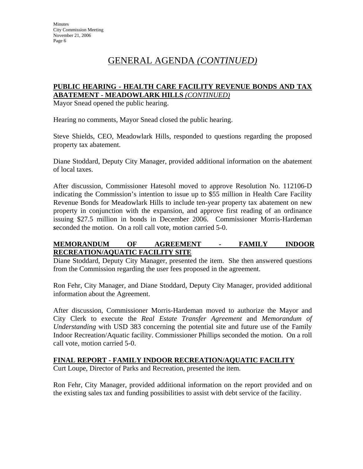# GENERAL AGENDA *(CONTINUED)*

#### **PUBLIC HEARING - HEALTH CARE FACILITY REVENUE BONDS AND TAX ABATEMENT - MEADOWLARK HILLS** *(CONTINUED)*

Mayor Snead opened the public hearing.

Hearing no comments, Mayor Snead closed the public hearing.

Steve Shields, CEO, Meadowlark Hills, responded to questions regarding the proposed property tax abatement.

Diane Stoddard, Deputy City Manager, provided additional information on the abatement of local taxes.

After discussion, Commissioner Hatesohl moved to approve Resolution No. 112106-D indicating the Commission's intention to issue up to \$55 million in Health Care Facility Revenue Bonds for Meadowlark Hills to include ten-year property tax abatement on new property in conjunction with the expansion, and approve first reading of an ordinance issuing \$27.5 million in bonds in December 2006. Commissioner Morris-Hardeman *s*econded the motion. On a roll call vote, motion carried 5-0.

#### **MEMORANDUM OF AGREEMENT - FAMILY INDOOR RECREATION/AQUATIC FACILITY SITE**

Diane Stoddard, Deputy City Manager, presented the item. She then answered questions from the Commission regarding the user fees proposed in the agreement.

Ron Fehr, City Manager, and Diane Stoddard, Deputy City Manager, provided additional information about the Agreement.

After discussion, Commissioner Morris-Hardeman moved to authorize the Mayor and City Clerk to execute the *Real Estate Transfer Agreement* and *Memorandum of Understanding* with USD 383 concerning the potential site and future use of the Family Indoor Recreation/Aquatic facility. Commissioner Phillips seconded the motion. On a roll call vote, motion carried 5-0.

#### **FINAL REPORT - FAMILY INDOOR RECREATION/AQUATIC FACILITY**

Curt Loupe, Director of Parks and Recreation, presented the item.

Ron Fehr, City Manager, provided additional information on the report provided and on the existing sales tax and funding possibilities to assist with debt service of the facility.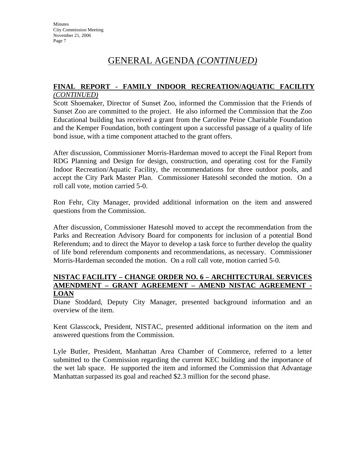## GENERAL AGENDA *(CONTINUED)*

#### **FINAL REPORT - FAMILY INDOOR RECREATION/AQUATIC FACILITY** *(CONTINUED)*

Scott Shoemaker, Director of Sunset Zoo, informed the Commission that the Friends of Sunset Zoo are committed to the project. He also informed the Commission that the Zoo Educational building has received a grant from the Caroline Peine Charitable Foundation and the Kemper Foundation, both contingent upon a successful passage of a quality of life bond issue, with a time component attached to the grant offers.

After discussion, Commissioner Morris-Hardeman moved to accept the Final Report from RDG Planning and Design for design, construction, and operating cost for the Family Indoor Recreation/Aquatic Facility, the recommendations for three outdoor pools, and accept the City Park Master Plan. Commissioner Hatesohl seconded the motion. On a roll call vote, motion carried 5-0.

Ron Fehr, City Manager, provided additional information on the item and answered questions from the Commission.

After discussion, Commissioner Hatesohl moved to accept the recommendation from the Parks and Recreation Advisory Board for components for inclusion of a potential Bond Referendum; and to direct the Mayor to develop a task force to further develop the quality of life bond referendum components and recommendations, as necessary. Commissioner Morris-Hardeman seconded the motion. On a roll call vote, motion carried 5-0.

#### **NISTAC FACILITY – CHANGE ORDER NO. 6 – ARCHITECTURAL SERVICES AMENDMENT – GRANT AGREEMENT – AMEND NISTAC AGREEMENT - LOAN**

Diane Stoddard, Deputy City Manager, presented background information and an overview of the item.

Kent Glasscock, President, NISTAC, presented additional information on the item and answered questions from the Commission.

Lyle Butler, President, Manhattan Area Chamber of Commerce, referred to a letter submitted to the Commission regarding the current KEC building and the importance of the wet lab space. He supported the item and informed the Commission that Advantage Manhattan surpassed its goal and reached \$2.3 million for the second phase.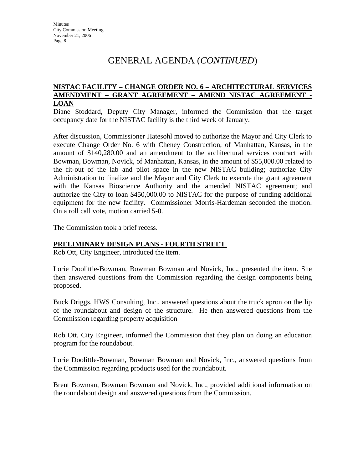## GENERAL AGENDA (*CONTINUED*)

#### **NISTAC FACILITY – CHANGE ORDER NO. 6 – ARCHITECTURAL SERVICES AMENDMENT – GRANT AGREEMENT – AMEND NISTAC AGREEMENT - LOAN**

Diane Stoddard, Deputy City Manager, informed the Commission that the target occupancy date for the NISTAC facility is the third week of January.

After discussion, Commissioner Hatesohl moved to authorize the Mayor and City Clerk to execute Change Order No. 6 with Cheney Construction, of Manhattan, Kansas, in the amount of \$140,280.00 and an amendment to the architectural services contract with Bowman, Bowman, Novick, of Manhattan, Kansas, in the amount of \$55,000.00 related to the fit-out of the lab and pilot space in the new NISTAC building; authorize City Administration to finalize and the Mayor and City Clerk to execute the grant agreement with the Kansas Bioscience Authority and the amended NISTAC agreement; and authorize the City to loan \$450,000.00 to NISTAC for the purpose of funding additional equipment for the new facility. Commissioner Morris-Hardeman seconded the motion. On a roll call vote, motion carried 5-0.

The Commission took a brief recess.

#### **PRELIMINARY DESIGN PLANS - FOURTH STREET**

Rob Ott, City Engineer, introduced the item.

Lorie Doolittle-Bowman, Bowman Bowman and Novick, Inc., presented the item. She then answered questions from the Commission regarding the design components being proposed.

Buck Driggs, HWS Consulting, Inc., answered questions about the truck apron on the lip of the roundabout and design of the structure. He then answered questions from the Commission regarding property acquisition

Rob Ott, City Engineer, informed the Commission that they plan on doing an education program for the roundabout.

Lorie Doolittle-Bowman, Bowman Bowman and Novick, Inc., answered questions from the Commission regarding products used for the roundabout.

Brent Bowman, Bowman Bowman and Novick, Inc., provided additional information on the roundabout design and answered questions from the Commission.